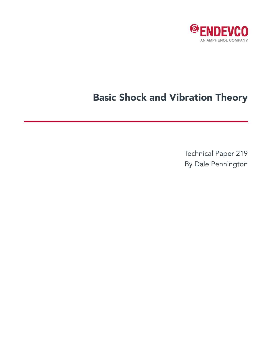

# Basic Shock and Vibration Theory

Technical Paper 219 By Dale Pennington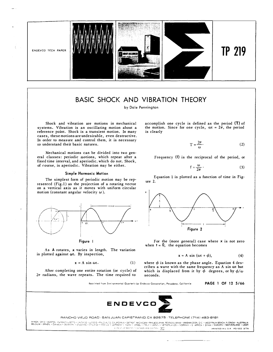

# BASIC SHOCK AND VIBRATION THEORY

by Dale Pennington

**Shock and vibration are motions in mechanical systems. Vibration is an oscillating motion about a reference point. Shock is a transient motion.** In **many cases, these motions are undesirable, even destructive.**  In **order to measure and control them, it is necessary to understand their basic natures.** 

**Mechanical motions can be divided into two general classes: periodic motions, which repeat after a fixed time interval, and aperiodic, which do not. Shock, of course, is aperiodic. Vibration may be either.** 

#### **Simple Harmonic Motion**

**The simplest form of periodic motion may be represented (Fig.I) as the projection of a rotating vector on a vertical axis as it moves with uniform circular**  motion (constant angular velocity  $\omega$ ).



**Figure I** 

**As A rotates, x varies in length. The variation is plotted against** *wt.* **By inspection,** 

$$
\mathbf{x} = \mathbf{A} \sin \omega t. \tag{1}
$$

**After completing one entire rotation (or cycle) of 2rr radians, the wave repeats. The time required to** 

**accomplish one cycle is defined as the period (T) of**  the motion. Since for one cycle,  $\omega t = 2\pi$ , the period **is clearly** 

$$
T = \frac{2\pi}{\omega}.
$$
 (2)

**Frequency** (f) **is the reciprocal of the period, or** 

$$
f=\frac{\omega}{2\pi}.
$$
 (3)

**Equation 1 is plotted as a function of time in Fig• ure 2.** 



**For the (more general) case where x is not zero**  when  $t = 0$ , the equation becomes

$$
x = A \sin (\omega t + \phi), \qquad (4)
$$

**where ¢ is known as the phase angle. Equation 4 des•**  cribes a wave with the same frequency as A sin  $\omega t$  but which is displaced from it by  $\dot{\phi}$  degrees, or by  $\phi/\omega$ **seconds.** 

Reprinted from Environmental Quarterly by Endevco Corporation, Pasadena, California **PAGE l OF 12 5/66** 



**RANCHO VIEJO ROAD · SAN -JUAN CAPISTRANO. CA 92675 . TELEPHONE (714) 493-8181** 

PALM BEACH. FLORIDA • AUSTRALIA • SWEDEN • SWITZERLAND • USSR C. WS-DN OF BEGTON DICK NSON AND COMPANY THE **PRINTED \NU 5 A. ?E•/ISED 2/74**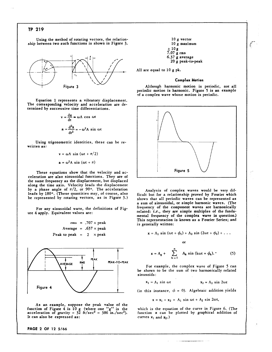Using the method of rotating vectors, the relationship between two such functions is shown in Figure 3.



Equation 1 represents a vibratory displacement. The corresponding velocity and acceleration are determined by successive time differentiations.

$$
\mathbf{v} = \frac{\mathbf{dx}}{\mathbf{dt}} = \omega \mathbf{A} \cos \omega t
$$

$$
\mathbf{a} = \frac{\mathbf{d}^2 \mathbf{x}}{\mathbf{dt}^2} = -\omega^2 \mathbf{A} \sin \omega t
$$

Using trigonometric identities, these can be rewritten as:

$$
\mathbf{v} = \omega A \sin (\omega t + \pi/2)
$$
  

$$
\mathbf{a} = \omega^2 A \sin (\omega t + \pi)
$$

These equations show that the velocity and acceleration are also sinusoidal functions. They are of the same frequency as the displacement, but displaced along the time axis. Velocity leads the displacement by a phase angle of  $\pi/2$ , or 90°. The acceleration leads by 180°. (These quantities may, of course, also be represented by rotating vectors, as in Figure 3.)

For any sinusoidal wave, the definitions of Figure 4 apply. Equivalent values are:

rms = 
$$
.707 \times
$$
 peak  
Average =  $.637 \times$  peak  
Peak to peak =  $2 \times$  peak



As an example, suppose the peak value of the function of Figure 4 is 10 g (where one "g" is the<br>acceleration of gravity = 32 ft/sec<sup>2</sup> = 386 in./sec<sup>2</sup>). It can also be expressed as:

PAGE 2 OF 12 5/66

10 g vector  
\n10 g maximum  
\n
$$
\pm
$$
 10 g  
\n7.07 g rms  
\n6.37 g average  
\n20 g peak-to-peak

All are equal to 10 g pk.

#### **Complex Motion**

Although harmonic motion is periodic, not all periodic motion is harmonic. Figure 5 is an example of a complex wave whose motion is periodic.



Analysis of complex waves would be very difficult but for a relationship proved by Fourier which shows that all periodic waves can be represented as a sum of sinusoidal, or simple harmonic waves. (The frequency of the component waves are harmonically related: i.e., they are simple multiples of the fundamental frequency of the complex wave in question.) This representation is known as a Fourier Series; and is generally written:

$$
\mathbf{x} = A_1 \sin (\omega t + \phi_1) + A_2 \sin (2\omega t + \phi_2) + \dots
$$

 $\alpha$ r

$$
\mathbf{x} = A_0 + \sum_{\mathbf{k} = 1}^n A_{\mathbf{k}} \sin(k\omega t + \phi_{\mathbf{k}}). \tag{5}
$$

For example, the complex wave of Figure 5 can be shown to be the sum of two harmonically related sinusoids:

$$
x_1 = A_1 \sin \omega t \qquad x_2 = A_2 \sin 2\omega t
$$

(in this instance,  $\phi = 0$ ). Algebraic addition yields

$$
\mathbf{x} = \mathbf{x}_1 + \mathbf{x}_2 = A_1 \sin \omega t + A_2 \sin 2\omega t,
$$

which is the equation of the curve in Figure 6. (The function x can be plotted by graphical addition of curves  $x_1$  and  $x_2$ .)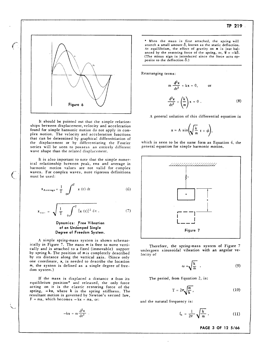Figure 6

It should be pointed out that the simple relationships between displacement, velocity and acceleration found for simple harmonic motion do not apply in complex motion. The velocity and acceleration functions that can be determined by graphical differentiation of<br>the displacement or by differentiating the Fourier series will be seen to possess an entirely different wave shape than the related displacement.

It is also important to note that the simple numerical relationship between peak, rms and average in harmonic motion values are not valid for complex waves. For complex waves, more rigorous definitions must be used:

$$
x_{Average} = \frac{1}{T} \int_{0}^{T} x(t) dt
$$
 (6)

$$
\mathbf{x}_{\text{rms}} = \sqrt{\frac{1}{T} \int_{0}^{T} [\mathbf{x}(t)]^2 dt} \tag{7}
$$

Dynamics: Free Vibration of an Undamped Single Degree of Freedom System.

A simple spring-mass system is shown schematically in Figure 7. The mass m is free to move vertically and is attached to a fixed (immovable) support by spring k. The position of mis completely described by its distance along the vertical axis. (Since only one coordinate, x, is needed to describe the location m, the system is defined as a single degree of freedom system.)

If the mass is displaced a distance x from its equilibrium position\* and released, the only force acting on it is the elastic restoring force of the spring, -kx, where k is the spring stiffness. The resultant motion is governed by Newton's second law,  $F = ma$ , which becomes  $- kx = ma$ , or:

$$
-kx = m \frac{d^2x}{dt^2}
$$

\* When the mass is first attached, the spring will stretch a small amount  $\delta$ , known as the static deflection. At equilibrium, the effect of gravity on m is just balanced by the restoring force of the spring, or,  $W = -k\delta$ . (The minus sign is introduced since the force acts opposite to the deflection  $\delta$ .)

Rearranging terms:

$$
m \frac{d^2x}{dt^2} + kx = 0, \qquad \text{or}
$$

$$
\frac{d^2x}{dt^2} + \left(\frac{k}{m}\right)x = 0 . \tag{8}
$$

A general solution of this differential equation is

$$
x = A \sin\left(\sqrt{\frac{k}{m}} t + \phi\right),
$$

which is seen to be the same form as Equation 4, the general equation for simple harmonic motion.



Therefore, the spring-mass system of Figure 7 undergoes sinusoidal vibration with an angular velocity of

$$
\omega = \sqrt{\frac{k}{m}} \quad . \tag{9}
$$

The period, from Equation 2, is:

$$
T = 2\pi \sqrt{\frac{m}{k}}, \qquad (10)
$$

and the natural frequency is:

$$
f_n = \frac{1}{2\pi} \sqrt{\frac{k}{m}} \ . \tag{11}
$$

PAGE 3 OF 12 5/66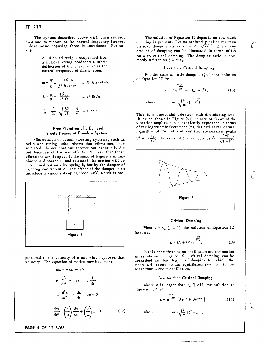The system described above will, once started, continue to vibrate at its natural frequency forever, unless some opposing force is introduced. For example:

> A 16-pound weight suspended from a helical spring produces a static deflection of 6 inches. What is the natural frequency of this system?

$$
m = \frac{W}{g} = \frac{16 \text{ lb}}{32 \text{ ft/sec}^2} = .5 \text{ lb-sec}^2/\text{ft}.
$$
  

$$
k = \frac{W}{\delta} = \frac{16 \text{ lb}}{.5 \text{ ft}} = 32 \text{ lb/ft}.
$$
  

$$
f_n = \frac{1}{2\pi} \sqrt{\frac{32}{.5}} = \frac{4}{\pi} = 1.27 \text{ Hz}
$$

## Free Vibration of a Damped Single Degree of Freedom System

Observation of actual vibrating systems, such as bells and tuning forks, shows that vibrations, once initiated, do not continue forever but eventually die out because of friction effects. We say that these vibrations are damped. If the mass of Figure 8 is displaced a distance x and released, its motion will be determined not only by spring k, but by the damper of<br>damping coefficient c. The effect of the damper is to introduce a viscous damping force -cV, which is pro-



portional to the velocity of m and which opposes that velocity. The equation of motion now becomes:

$$
ma = -kx - cV
$$
  
\n
$$
m \frac{d^{2}x}{dt^{2}} = -kx - c \frac{dx}{dt}
$$
  
\n
$$
m \frac{d^{2}x}{dt^{2}} + c \frac{dx}{dt} + kx = 0
$$
  
\n
$$
\frac{d^{2}x}{dt^{2}} + \left(\frac{c}{m}\right) \frac{dx}{dt} + \left(\frac{k}{m}\right) x = 0
$$
 (12)

PAGE 4 OF 12 5/66

The solution of Equation 12 depends on how much damping is present. Let us arbitrarily define the term critical damping  $c_c$  as  $c_c = 2m \sqrt{k/m}$ . Then any amount of damping can be discussed in terms of its ratio to critical damping. The damping ratio is commonly written as  $\zeta = c/c_c$ .

#### **Less than Critical Damping**

For the case of little damping  $(\zeta < 1)$  the solution of Equation 12 is:

$$
x = Ae^{-\frac{ct}{2m}} \sin(\omega t + \phi), \qquad (13)
$$

Ç.

k.

 $\omega = \sqrt{\frac{k}{m}(1-\zeta^2)}$ where

This is a sinusoidal vibration with diminishing amplitude as shown in Figure 9. (The rate of decay of the vibration amplitude is conveniently expressed in terms of the logarithmic decrement  $(\Delta)$ , defined as the natural logarithm of the ratio of any two successive peaks  $(\Delta = \ln \frac{x_1}{x_2})$ . In terms of  $\zeta$ , this becomes  $\Delta = \frac{2\pi \zeta}{\sqrt{1 - \zeta^2}}$ .



#### **Critical Damping**

When  $c = c_c$  ( $\zeta = 1$ ), the solution of Equation 12 becomes

$$
x = (A + Bt) e^{\frac{-Et}{2m}}.
$$
 (14)

In this case there is no oscillation and the motion is as shown in Figure 10. Critical damping can be described as that degree of damping for which the mass will return to its equilibrium position in the least time without oscillation.

#### **Greater than Critical Damping**

Where c is larger than  $c_c$  ( $\zeta > 1$ ), the solution to Equation 12 is:

 $\omega = \sqrt{\frac{k}{m}(\zeta^2 - 1)}$ .

$$
x = e^{-\frac{ct}{2m}} \left[ A e^{\omega t} + B e^{-\omega t} \right], \qquad (15)
$$

$$
\quad \text{where} \quad
$$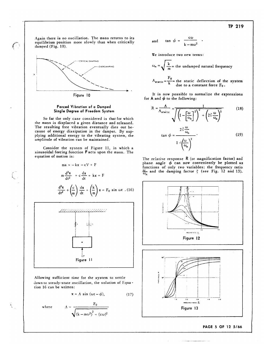Again there is no oscillation. The mass returns to its equilibrium position more slowly than when critically damped (Fig. 10).



#### Forced Vibration of a Damped Single Degree of Freedom System

So far the only case considered is that for which the mass is displaced a given distance and released. The resulting free vibration eventually dies out because of energy dissipation in the damper. By supplying additional energy to the vibrating system, the amplitude of vibration can be maintained.

Consider the system of Figure 11, in which a sinusoidal forcing function Facts upon the mass. The equation of motion is:

$$
ma = -kx - cV + F
$$
  
\n
$$
m \frac{d^{2}x}{dt^{2}} + c \frac{dx}{dt} + kx = F
$$
  
\n
$$
\frac{d^{2}x}{dt^{2}} + \left(\frac{c}{m}\right) \frac{dx}{dt} + \left(\frac{k}{m}\right) x = F_{0} \sin \omega t
$$
.(16)



Allowing sufficient time for the system to settle down to steady-state oscillation, the solution of Equation 16 can be written:

A =  $\frac{F_0}{\sqrt{(k - mω^2)^2 + (cω)^2}}$ 

$$
\mathbf{x} = A \sin (\omega t - \phi), \tag{17}
$$

$$
\quad\text{where}\quad
$$

and 
$$
\tan \phi = \frac{c\omega}{k - m\omega^2}
$$

We introduce two new terms:

T.

$$
\omega_n = \sqrt{\frac{k}{m}}
$$
 = the undamped natural frequency

$$
A_{static} = \frac{r_0}{k} =
$$
 the static deflection of the system due to a constant force  $F_0$ .

It is now possible to normalize the expressions for  $A$  and  $\phi$  to the following:

$$
R = \frac{A}{A_{static}} = \frac{1}{\sqrt{\left(1 - \left[\frac{\omega}{\omega_n}\right]^2\right)^2 + \left(2\zeta\frac{\omega}{\omega_n}\right)^2}}
$$
(18)  

$$
\tan\phi = \frac{2\zeta\frac{\omega}{\omega_n}}{1 - \left(\frac{\omega}{\omega_n}\right)^2}
$$
(19)

The relative response  $R$  (or magnification factor) and phase angle  $\phi$  can now conveniently be plotted as functions of only two variables: the frequency ratio  $\frac{\omega}{\omega_n}$  and the damping factor  $\zeta$  (see Fig. 12 and 13).

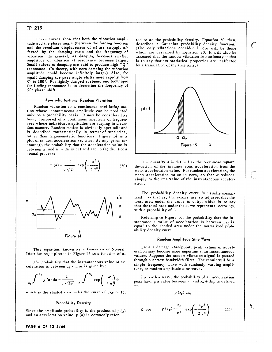These curves show that both the vibration amplitude and the phase angle (between the forcing function and the resultant displacement of m) are strongly affected by the damping ratio and the frequency of<br>vibration. In general, as damping becomes smaller amplitude of vibration at resonance becomes larger. Small values of damping are said to produce high "O" resonance. (In theory, with zero damping the vibration amplitude could become infinitely large.) Also, for small damping the pase angle shifts more rapidly from 0<sup>o</sup> to 180°. For lightly damped systems, one technique for finding resonance is to determine the frequency of 90° phase shift.

#### Aperiodic Motion: Random Vibration

Random vibration is a continuous oscillating motion whose instantaneous amplitude can be predicted only on a probability basis. It may be considered as being composed of a continuous spectrum of frequencies whose individual amplitudes are varying in a random manner. Random motion is obviously aperiodic and is described mathematically in terms of statistics, rather than trigonometeric functions. Figure 14 is a plot of random acceleration vs. time. At any given instant (t), the probability that the acceleration value is between  $a_0$  and  $a_0 + da$  is defined as: p (a) da. For a normal process:

$$
p(a) = \frac{1}{\sigma \sqrt{2\pi}} \exp\left(-\frac{a^2}{2 \sigma^2}\right) \tag{20}
$$



This equation, known as a Gaussian or Normal Distribution, is plotted in Figure 15 as a function of a.

The probability that the instantaneous value of acceleration is between  $a_1$  and  $a_2$  is given by:

$$
\int_{a_1}^{a_2} p(a) da = \frac{1}{\sigma \sqrt{2\pi}} \int_{a_1}^{a_2} \exp\left(-\frac{a^2}{2 \sigma^2}\right) da
$$

which is the shaded area under the curve of Figure 15.

# Probability Density

Since the amplitude probability is the product of  $p(a)$ and an acceleration value, p (a) is commonly refer-

PAGE 6 OF 12 5/66

red to as the probability density. Equation 20, then, describes a Gaussian probability density function. (The only vibrations considered here will be those which are described by Equation 20. It will also be assumed that the random vibration is stationary -- that is to say that its statistical properties are unaffected by a translation of the time axis.)



The quantity  $\sigma$  is defined as the root mean square deviation of the instantaneous acceleration from the mean acceleration value. For random acceleration, the mean acceleration value is zero, so that  $\sigma$  reduces simply to the rms value of the instantaneous acceleration.

The probability density curve is usually normalized -- that is, the scales are so adjusted that the total area under the curve is unity, which is to say that the total area under the curve represents certainty, with a probability of 1.

Referring to Figure 16, the probability that the instantaneous value of acceleration is between  $\pm a_1$  is equal to the shaded area under the normalized probability density curve.

#### Random Amplitude Sine Wave

From a damage standpoint, peak values of acceleration may become more important than instantaneous values. Suppose the random vibration signal is passed through a narrow bandwidth filter. The result will be a single frequency wave with randomly varying amplitude, or random amplitude sine wave.

For such a wave, the probability of an acceleration peak having a value between  $a_0$  and  $a_0 + da_p$  is defined  $as:$ 

$$
p(a_p) da_p
$$

where 
$$
p(a_p) = \frac{a_p}{\sigma^2} \exp\left(-\frac{a_p^2}{2 \sigma^2}\right)
$$
 (21)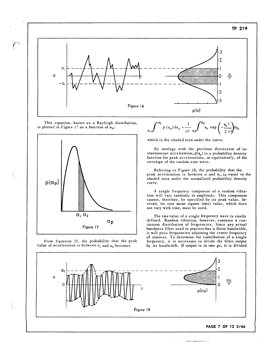

This equation, known as a Rayleigh distribution, is plotted in Figure 17 as a function of ap.



From Equation 21, the probability that the peak value of acceleration is between  $a_1$  and  $a_2$  becomes

$$
a_1 \int^{a_2} p(a_p) da_p = \frac{1}{\sigma^2} \int^{a_2} a_p \exp \left(-\frac{a_p^2}{2 \sigma^2}\right) da_p
$$

which is the shaded area under the curve.

By analogy with the previous discussion of instantaneous acceleration,  $p(a_0)$  is a probability density function for peak accelerations, or equivalently, of the envelope of the random sine wave.

Referring to Figure 18, the probability that the peak acceleration is between o and a<sub>1</sub>, is equal to the shaded area under the normalized probability density curve.

A single frequency component of a random vibration will vary randomly in amplitude. This component cannot, therefore, be specified by its peak value. Instead, its root mean square (rms) value, which does not vary with time, must be used.

The rms value of a single frequency wave is easily defined. Random vibration, however, contains a continuous distribution of frequencies. Since any actual bandpass filter used in practice has a finite bandwidth, it will pass frequencies adjoining the center frequency of interest. To determine the contribution of a single frequency, it is necessary to divide the filter output by its bandwidth. If output is in rms gs, it is divided

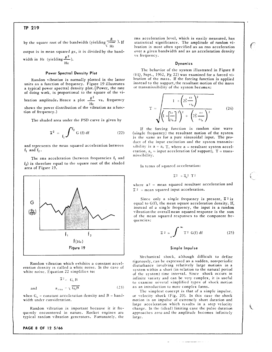by the square root of the bandwidth (yielding  $\frac{g}{\sqrt{Hz}}$ ). If output is in mean squared gs, it is divided by the bandwidth in Hz (yielding  $\frac{g^2}{\mu}$ ).

Power Spectral Density Plot

Random vibration is normally plotted in the latter units as a function of frequency. Figure 19 illustrates a typical power spectral density plot. (Power, the rate of doing work, is proportional to the square of the vi-

bration amplitude. Hence a plot  $\frac{g^2}{Hz}$  vs. frequency

shows the power distribution of the vibration as a function of frequency.)

The shaded area under the PSD curve is given by

$$
\overline{\mathbf{a}}^2 = \int_{f_1}^{f_2} \mathbf{G} \text{ (f) df} \tag{22}
$$

and represents the mean squared acceleration between  $f_1$  and  $f_2$ .

The rms acceleration (between frequencies  $f_1$  and  $f_2$ ) is therefore equal to the square root of the shaded area of Figure 19.



Random vibration which exhibits a constant acceleration density is called a white noise. In the case of white noise, Equation 22 simplifies to:

$$
\overline{a}^2 = G_o B
$$
  

$$
a_{rms} = \sqrt{G_o B}
$$
 (23)

when  $G_0$  = constant acceleration density and B = bandwidth under consideration.

Random vibration is important because it it frequently encountered in nature. Rocket engines are typical random vibration generators. Fortunately, the

#### PAGE 8 OF 12 5/66

and

rms acceleration level, which is easily measured, has statistical significance. The amplitude of random vibration is most often specified as an rms acceleration over a given bandwidth and as an acceleration density vs frequency.

#### **Dynamics**

The behavior of the system illustrated in Figure 8 (EQ, Sept., 1962, Pg 22) was examined for a forced vibration of the mass. If the forcing function is applied instead to the support, the resultant motion of the mass or transmissibility of the system becomes:

$$
T = \sqrt{\left(1 - \left(\frac{\omega}{\omega_n}\right)^2\right)^2 + \left(2\zeta \frac{\omega}{\omega_n}\right)^2}
$$
 (24)

If the forcing function is random sine wave (single frequency) the resultant motion of the system is the same as for a pure sinusoidal input. The product of the input excitation and the system transmissibility is  $a = a_0$  T, where  $a =$  resultant system acceleration,  $a_0$  = input acceleration (of support),  $T = \text{trans}$ missibility.

In terms of squared acceleration:

$$
\overline{a}^2 = \overline{a}_0^2 \mathbf{T}^2
$$

where  $a^2$  = mean squared resultant acceleration and  $\bar{a}^2$  = mean squared input acceleration.

Since only a single frequency is present,  $\overline{a}$  2 is equal to G(f), the mean square acceleration density. If, instead of a single frequency, the input is a random vibration the overall mean squared response is the sum of the mean squared responses to the component frequencies:

$$
\overline{a}^2 = \int_0^\infty T^2 G(f) df
$$
 (25)

#### Simple Impulse

Mechanical shock, although difficult to define rigorously, can be expressed as a sudden, non-periodic disturbance involving relatively large motions in a system within a short (in relation to the natural period of the system) time interval. Since shock occurs in infinite variety and can be very complex, it is useful to examine several simplified types of shock motion as an introduction to more complex forms.

The simplest concept is that of a simple impulse, or velocity shock (Fig. 20). In this case the shock motion is an impulse of extremely short duration and large acceleration which results in a step velocity change. In the (ideal) limiting case the pulse duration approaches zero and the amplitude becomes infinitely large.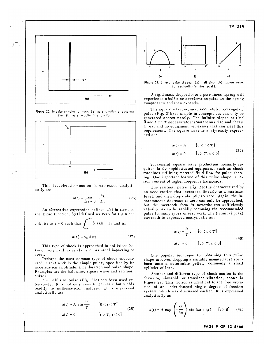

Figure 20. Impulse or velocity shock: (a) as a function of acceleration, (b) as a velocity-time function.



This (acceleration) motion is expressed analytically as:

$$
a(t) = \lim_{\Delta t \to 0} \frac{v_0}{\Delta t}
$$
 (26)

An alternative expression defines a(t) in terms of the Dirac function,  $\delta(t)$  [defined as zero for  $t \neq 0$  and

infinite at 
$$
t = 0
$$
 such that  $\int_{-\infty}^{+\infty} \delta(t) dt = 1$  and is:

$$
\mathbf{a}(\mathbf{t}) = \mathbf{v}_0 \; \delta \left( \mathbf{t} \right) \tag{27}
$$

This type of shock is approached in collisions between very hard materials, such as steel impacting on steel.

Perhaps the most common type of shock encountered in test work is the simple pulse, specified by its acceleration amplitude, time duration and pulse shape. Examples are the half sine, square wave and sawtooth pulses.

The half sine pulse (Fig. 21a) has been used extensively. It is not only easy to generate but yields readily to mathematical analysis. It is expressed analytically as:

$$
a(t) = A \sin \frac{\pi t}{\tau} \qquad [0 < t < \tau]
$$
  

$$
a(t) = 0 \qquad [t > \tau, t < 0]
$$
 (28)



Figure 21. Simple pulse shapes: (a) half sine, (b) square wave, (c) sawtooth (terminal peak).

A rigid mass dropped onto a pure linear spring will experience a half sine acceleration pulse as the spring compresses and then expands.

The square wave, or, more accurately, rectangular, pulse (Fig. 21b) is simple in concept, but can only be generated approximately. The infinite slopes at time  $\overline{0}$  and time  $\tau$  necessitate instantaneous rise and decay times, and no equipment yet exists that can meet this requirement. The square wave is analytically expressed as:

$$
a(t) = A \qquad [0 < t < \tau]
$$
  

$$
a(t) = 0 \qquad [t > \tau, t < 0]
$$
 (29)

Successful square wave production normally requires fairly sophisticated equipmen., such as shock machines utilizing metered fluid flow for pulse shaping. One important feature of this pulse shape is its rich content of higher frequency harmonics.

The sawtooth pulse (Fig. 21c) is characterized by an acceleration that increases linearly to a maximum level, and then drops abruptly to zero. Again, the instantaneous decrease to zero can only be approached, but the sawtooth form is nevertheless sufficiently valuable as to be rapidly becoming the recommended pulse for many types of test work. The (terminal peak) sawtooth is expressed analytically as:

$$
a(t) = \frac{A}{\tau} t \qquad [0 < t < \tau]
$$
  
\n
$$
a(t) = 0 \qquad [t > \tau, t < 0]
$$
\n(30)

One popular technique for obtaining this pulse shape involves dropping a suitably mounted test specimen onto a deformable pellet, commonly a small cylinder of lead.

Another and different type of shock motion is the decaying sinusoid, or transient vibration, shown in Figure 22. This motion is identical to the free vibration of an under-damped single degree of freedom system, which was discussed earlier. It is expressed analytically as:

$$
a(t) = A \exp\left(-\frac{ct}{2m}\right) \sin(\omega t + \phi) \qquad [t > 0] \qquad (31)
$$

PAGE 9 OF 12 5/66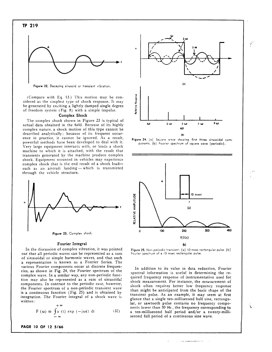

Figure 22. Decaying sinusoid or transient vibration.

(Compare with Eq. 13.) This motion may be considered as the simplest type of shock response. It may be generated by exciting a lightly damped single degree of freedom system (Fig. 8) with a simple impulse.

#### Complex Shock

The complex shock shown in Figure 23 is typical of actual data obtained in the field. Because of its highly complex nature, a shock motion of this type cannot be described analytically; because of its frequent occurence in practice, it cannot be ignored. As a result, powerful methods have been developed to deal with it. Very large equipment interacts with, or loads a shock machine to which it is attached, with the result that transients generated by the machine produce complex shock. Equipment mounted in vehicles may experience complex shock that is the end result of a shock loadsuch as an aircraft landing - which is transmitted through the vehicle structure.



Figure 23. Complex shock.

#### Fourier Integral

In the discussion of complex vibration, it was pointed out that all periodic waves can be represented as a sum of sinusoidal or simple harmonic waves, and that such a representation is known as a Fourier Series. The various Fourier components occur at discrete frequencies, as shown in Fig. 24, the Fourier spectrum of the complex wave. In a similar way, any non-periodic function may also be represented as a sum of sinusoidal components. In contrast to the periodic case, however, the Fourier spectrum of a non-periodic transient wave is a continuous function (Fig. 25) and is obtained by integration. The Fourier integral of a shock wave is written:

$$
F(\omega) = \int_{-\infty}^{+\infty} (t) \exp(-j\omega t) dt
$$
 (32)





Figure 24. (a) Square wave showing first three sinusoidal components, (b) Fourier spectrum of square wave (periodic).



Figure 25. Non-periodic transient: (a) 10 msec rectangular pulse. (b) Fourier spectrum of a 10 msec rectangular pulse.

In addition to its value in data reduction, Fourier spectral information is useful in determining the required frequency response of instrumentation used for shock measurement. For instance, the measurement of shock often requires better low frequency response than might be anticipated from the basic shape of the transient pulse. As an example, it may seem at first glance that a single ten-millisecond half sine, rectangular, or sawtooth pulse contains no frequency components lower than 50 Hz, the frequency corresponding to a ten-millisecond half period and/or a twenty-millisecond full period of a continuous sine wave.

 $\mathcal{E}^{\mathbb{Z}}$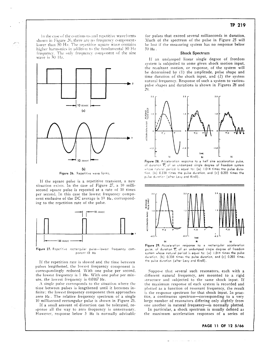In the case of the continuous and repetitive waveforms shown in Figure 26, there are no frequency components lower than 50 Hz. The repetitive square wave contains higher harmonics in addition to the fundamental 50 Hz trequency. The only frequency component of the sine wave is 50 Hz.



If the square pulse is a repetitive transient, a new situation exists. In the case of Figure 27, a 10 millisecond square pulse is repeated at a rate of 10 times per second. In this case the lowest frequency component exclusive of the DC average is 10 Hz, correspond-



Figure 27. Repetitive rectangular pulse-lowest frequency component 10 Hz

If the repetition rate is slowed and the time between pulses lengthened, the lowest frequency component is correspondingly reduced. With one pulse per second, the lowest frequency is 1 Hz. With one pulse per minute, the lowest frequency is 0.0167 Hz.

A single pulse corresponds to the situation where the time between pulses is lengthened until it becomes infinite; the lowest frequency component then approaches zero Hz. The relative frequency spectrum of a single 10 millisecond rectangular pulse is shown in Figure 25.

If a small amount of distortion can be tolerated, response all the way to zero frequency is unnecessary. However, response below 5 Hz is normally advisable

for pulses that exceed several milliseconds in duration. Much of the spectrum of the pulse in Figure 25 will be lost if the measuring system has no response below  $50$  Hz.

#### Shock Spectrum

If an undamped linear single degree of freedom system is subjected to some given shock motion input, the resultant motion, or response, of the system will be determined by (1) the amplitude, pulse shape and time duration of the shock input, and (2) the system natural frequency. Response of such a system to various pulse shapes and durations is shown in Figures 28 and 29.



Figure 28. Acceleration response to a half sine acceleration pulse, of duration  $\tau$ , of an undamped single degree of freedom system whose natural period is equal to: (a) 1.014 times the pulse duration. (b) 0.338 times the pulse duration, and (c) 0.203 times the pulse duration (after Levy and Kroll).



Figure 29. Acceleration response to a rectangular acceleration pulse, of duration  $\tau$  of an undamped single degree of freedom system whose natural period is equal to: (a) 1,014 times the pulse duration, (b) 0.338 times the pulse duration, and (c) 0.203 times the pulse duration (after Levy and Kroll).

Suppose that several such resonators, each with a different natural frequency, are mounted to a rigid structure and subjected to the same shock input. If the maximum response of each system is recorded and plotted as a function of resonant frequency, the result is the response spectrum for that shock input. In practice, a continuous spectrum-corresponding to a very large number of resonators differing only slightly from one another in natural frequency-is normally plotted.

In particular, a shock spectrum is usually defined as the maximum acceleration responses of a series of

PAGE 11 OF 12 5/66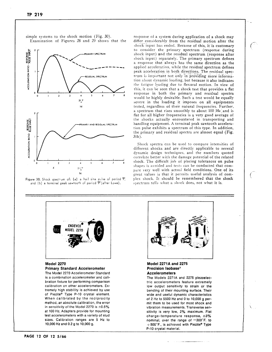

simple systems to the shock motion (Fig. 30). Examination of Figures 28 and 29 shows that the

Figure 30. Shock spectrum of: (a) a half sine pulse of period  $T$ , and (b) a terminal peak sawtooth of period  $\tau$  (after Lowe).

response of a system during application of a shock may differ considerably from the residual motion after the shock input has ended. Because of this, it is customary to consider the primary spectrum (response during shock input) and the residual spectrum (response after shock input) separately. The primary spectrum defines a response that always has the same direction as the applied acceleration, while the residual spectrum defines peak acceleration in both directions. The residual spectrum is important not only in providing more information about dynamic loading, but because it also indicates the fatigue loading due to flexural motion. In view of this, it can be seen that a shock test that provides a flat response in both the primary and residual spectra would be highly desirable. Such a test would be equally severe in the loading it imposes on all equipments tested, regardless of their natural frequencies. Further, a spectrum that rises smoothly to about 100 Hz and is flat for all higher frequencies is a very good average of the shocks actually encountered in transporting and handling equipment. A terminal peak sawtooth acceleration pulse exhibits a spectrum of this type. In addition, the primary and residual spectra are almost equal (Fig.  $30<sub>b</sub>$ ).

Shock spectra can be used to compare intensities of different shocks and are directly applicable to several dynamic design techniques, and the numbers quoted correlate better with the damage potential of the related shock. The difficult job of placing tolerances on pulse shapes is avoided and tests can be conducted that compare very well with actual field conditions. One of its great values is that it permits useful analysis of complex shock. It should be remembered that the shock spectrum tells what a shock does, not what it is.



# **Model 2270 Primary Standard Accelerometer**

The Model 2270 Accelerometer Standard is a combination accelerometer and calibration fixture for performing comparison calibration on other accelerometers. Extremely high stability is achieved by use of Piezite® Type P-10 crystal element. When calibrated by the reciprocity method, an absolute calibration, the error in sensitivity of the Model 2270 is  $\pm 0.5\%$ at 100 Hz. Adapters provide for mounting test accelerometers with a variety of stud sizes. Calibration ranges are 5 Hz to 10,000 Hz and 0.2 g to 10,000 g.



# Model 2271A and 2275 Precision Isobase<sup>®</sup> **Accelerometers**

The Models 2271A and 2275 piezoelectric accelerometers feature extremely low output sensitivity to strain or the bending of their mounting surface. Their wide and useful dynamic characteristics of 2 Hz to 5500 Hz and 0 to 10,000 g permit them to be used for most shock and vibration measurements. Transverse sensitivity is very low, 2% maximum. Flat charge-temperature response, ±3% nominal, over the range of -300°F. to +500°F., is achieved with Piezite® Type P-10 crystal material.